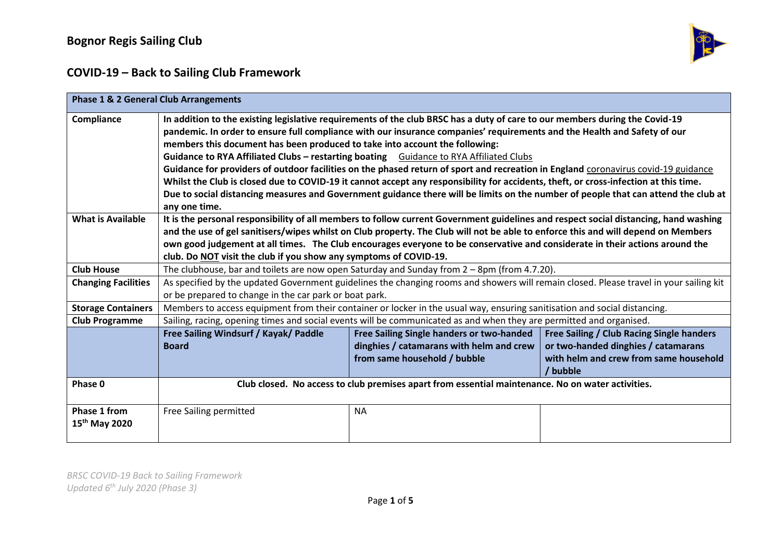

| <b>Phase 1 &amp; 2 General Club Arrangements</b> |                                                                                                                                                                                                                                                                                                                                                                                                                                                                                                                                                                                                                                                                                                                                                                                                                                                                       |                                                                                                                       |                                                                                                                                        |
|--------------------------------------------------|-----------------------------------------------------------------------------------------------------------------------------------------------------------------------------------------------------------------------------------------------------------------------------------------------------------------------------------------------------------------------------------------------------------------------------------------------------------------------------------------------------------------------------------------------------------------------------------------------------------------------------------------------------------------------------------------------------------------------------------------------------------------------------------------------------------------------------------------------------------------------|-----------------------------------------------------------------------------------------------------------------------|----------------------------------------------------------------------------------------------------------------------------------------|
| Compliance                                       | In addition to the existing legislative requirements of the club BRSC has a duty of care to our members during the Covid-19<br>pandemic. In order to ensure full compliance with our insurance companies' requirements and the Health and Safety of our<br>members this document has been produced to take into account the following:<br>Guidance to RYA Affiliated Clubs - restarting boating Guidance to RYA Affiliated Clubs<br>Guidance for providers of outdoor facilities on the phased return of sport and recreation in England coronavirus covid-19 guidance<br>Whilst the Club is closed due to COVID-19 it cannot accept any responsibility for accidents, theft, or cross-infection at this time.<br>Due to social distancing measures and Government guidance there will be limits on the number of people that can attend the club at<br>any one time. |                                                                                                                       |                                                                                                                                        |
| <b>What is Available</b>                         | It is the personal responsibility of all members to follow current Government guidelines and respect social distancing, hand washing<br>and the use of gel sanitisers/wipes whilst on Club property. The Club will not be able to enforce this and will depend on Members<br>own good judgement at all times. The Club encourages everyone to be conservative and considerate in their actions around the<br>club. Do NOT visit the club if you show any symptoms of COVID-19.                                                                                                                                                                                                                                                                                                                                                                                        |                                                                                                                       |                                                                                                                                        |
| <b>Club House</b>                                | The clubhouse, bar and toilets are now open Saturday and Sunday from $2 - 8$ pm (from 4.7.20).                                                                                                                                                                                                                                                                                                                                                                                                                                                                                                                                                                                                                                                                                                                                                                        |                                                                                                                       |                                                                                                                                        |
| <b>Changing Facilities</b>                       | As specified by the updated Government guidelines the changing rooms and showers will remain closed. Please travel in your sailing kit<br>or be prepared to change in the car park or boat park.                                                                                                                                                                                                                                                                                                                                                                                                                                                                                                                                                                                                                                                                      |                                                                                                                       |                                                                                                                                        |
| <b>Storage Containers</b>                        | Members to access equipment from their container or locker in the usual way, ensuring sanitisation and social distancing.                                                                                                                                                                                                                                                                                                                                                                                                                                                                                                                                                                                                                                                                                                                                             |                                                                                                                       |                                                                                                                                        |
| <b>Club Programme</b>                            | Sailing, racing, opening times and social events will be communicated as and when they are permitted and organised.                                                                                                                                                                                                                                                                                                                                                                                                                                                                                                                                                                                                                                                                                                                                                   |                                                                                                                       |                                                                                                                                        |
|                                                  | Free Sailing Windsurf / Kayak/ Paddle<br><b>Board</b>                                                                                                                                                                                                                                                                                                                                                                                                                                                                                                                                                                                                                                                                                                                                                                                                                 | Free Sailing Single handers or two-handed<br>dinghies / catamarans with helm and crew<br>from same household / bubble | Free Sailing / Club Racing Single handers<br>or two-handed dinghies / catamarans<br>with helm and crew from same household<br>/ bubble |
| Phase 0                                          | Club closed. No access to club premises apart from essential maintenance. No on water activities.                                                                                                                                                                                                                                                                                                                                                                                                                                                                                                                                                                                                                                                                                                                                                                     |                                                                                                                       |                                                                                                                                        |
| Phase 1 from<br>15 <sup>th</sup> May 2020        | Free Sailing permitted                                                                                                                                                                                                                                                                                                                                                                                                                                                                                                                                                                                                                                                                                                                                                                                                                                                | <b>NA</b>                                                                                                             |                                                                                                                                        |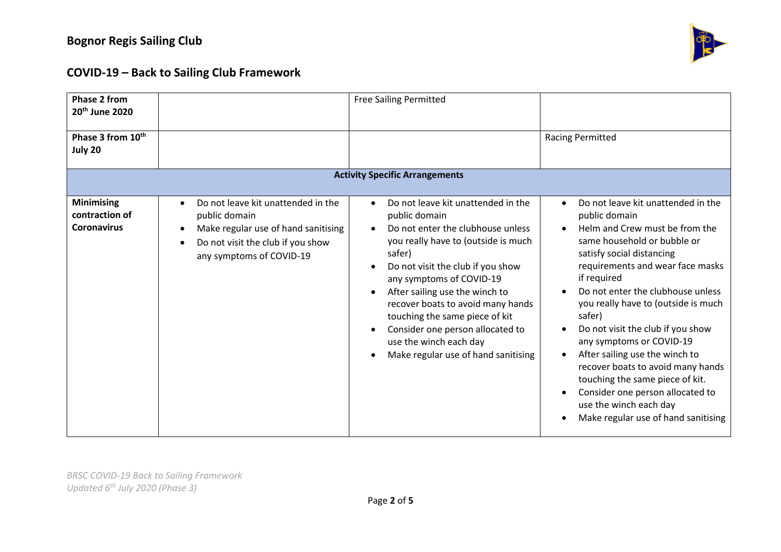

| Phase 2 from<br>20 <sup>th</sup> June 2020                |                                                                                                                                                                          | <b>Free Sailing Permitted</b>                                                                                                                                                                                                                                                                                                                                                                                                                                   |                                                                                                                                                                                                                                                                                                                                                                                                                                                                                                                                                                            |
|-----------------------------------------------------------|--------------------------------------------------------------------------------------------------------------------------------------------------------------------------|-----------------------------------------------------------------------------------------------------------------------------------------------------------------------------------------------------------------------------------------------------------------------------------------------------------------------------------------------------------------------------------------------------------------------------------------------------------------|----------------------------------------------------------------------------------------------------------------------------------------------------------------------------------------------------------------------------------------------------------------------------------------------------------------------------------------------------------------------------------------------------------------------------------------------------------------------------------------------------------------------------------------------------------------------------|
| Phase 3 from 10 <sup>th</sup><br>July 20                  |                                                                                                                                                                          |                                                                                                                                                                                                                                                                                                                                                                                                                                                                 | <b>Racing Permitted</b>                                                                                                                                                                                                                                                                                                                                                                                                                                                                                                                                                    |
| <b>Activity Specific Arrangements</b>                     |                                                                                                                                                                          |                                                                                                                                                                                                                                                                                                                                                                                                                                                                 |                                                                                                                                                                                                                                                                                                                                                                                                                                                                                                                                                                            |
| <b>Minimising</b><br>contraction of<br><b>Coronavirus</b> | Do not leave kit unattended in the<br>$\bullet$<br>public domain<br>Make regular use of hand sanitising<br>Do not visit the club if you show<br>any symptoms of COVID-19 | Do not leave kit unattended in the<br>$\bullet$<br>public domain<br>Do not enter the clubhouse unless<br>you really have to (outside is much<br>safer)<br>Do not visit the club if you show<br>any symptoms of COVID-19<br>After sailing use the winch to<br>$\bullet$<br>recover boats to avoid many hands<br>touching the same piece of kit<br>Consider one person allocated to<br>$\bullet$<br>use the winch each day<br>Make regular use of hand sanitising | Do not leave kit unattended in the<br>public domain<br>Helm and Crew must be from the<br>same household or bubble or<br>satisfy social distancing<br>requirements and wear face masks<br>if required<br>Do not enter the clubhouse unless<br>you really have to (outside is much<br>safer)<br>Do not visit the club if you show<br>any symptoms or COVID-19<br>After sailing use the winch to<br>recover boats to avoid many hands<br>touching the same piece of kit.<br>Consider one person allocated to<br>use the winch each day<br>Make regular use of hand sanitising |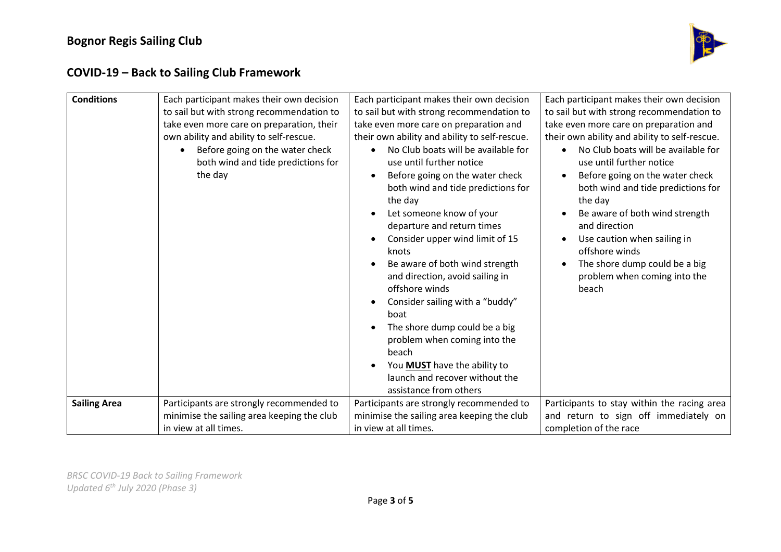

| <b>Conditions</b>   | Each participant makes their own decision<br>to sail but with strong recommendation to<br>take even more care on preparation, their<br>own ability and ability to self-rescue.<br>Before going on the water check<br>both wind and tide predictions for<br>the day | Each participant makes their own decision<br>to sail but with strong recommendation to<br>take even more care on preparation and<br>their own ability and ability to self-rescue.<br>No Club boats will be available for<br>use until further notice<br>Before going on the water check<br>$\bullet$<br>both wind and tide predictions for<br>the day<br>Let someone know of your<br>$\bullet$<br>departure and return times<br>Consider upper wind limit of 15<br>knots<br>Be aware of both wind strength<br>and direction, avoid sailing in<br>offshore winds<br>Consider sailing with a "buddy"<br>$\bullet$<br>boat | Each participant makes their own decision<br>to sail but with strong recommendation to<br>take even more care on preparation and<br>their own ability and ability to self-rescue.<br>No Club boats will be available for<br>use until further notice<br>Before going on the water check<br>both wind and tide predictions for<br>the day<br>Be aware of both wind strength<br>and direction<br>Use caution when sailing in<br>offshore winds<br>The shore dump could be a big<br>problem when coming into the<br>beach |
|---------------------|--------------------------------------------------------------------------------------------------------------------------------------------------------------------------------------------------------------------------------------------------------------------|-------------------------------------------------------------------------------------------------------------------------------------------------------------------------------------------------------------------------------------------------------------------------------------------------------------------------------------------------------------------------------------------------------------------------------------------------------------------------------------------------------------------------------------------------------------------------------------------------------------------------|------------------------------------------------------------------------------------------------------------------------------------------------------------------------------------------------------------------------------------------------------------------------------------------------------------------------------------------------------------------------------------------------------------------------------------------------------------------------------------------------------------------------|
|                     |                                                                                                                                                                                                                                                                    | The shore dump could be a big<br>problem when coming into the<br>beach<br>You <b>MUST</b> have the ability to<br>launch and recover without the<br>assistance from others                                                                                                                                                                                                                                                                                                                                                                                                                                               |                                                                                                                                                                                                                                                                                                                                                                                                                                                                                                                        |
| <b>Sailing Area</b> | Participants are strongly recommended to                                                                                                                                                                                                                           | Participants are strongly recommended to                                                                                                                                                                                                                                                                                                                                                                                                                                                                                                                                                                                | Participants to stay within the racing area                                                                                                                                                                                                                                                                                                                                                                                                                                                                            |
|                     | minimise the sailing area keeping the club                                                                                                                                                                                                                         | minimise the sailing area keeping the club                                                                                                                                                                                                                                                                                                                                                                                                                                                                                                                                                                              | and return to sign off immediately on                                                                                                                                                                                                                                                                                                                                                                                                                                                                                  |
|                     | in view at all times.                                                                                                                                                                                                                                              | in view at all times.                                                                                                                                                                                                                                                                                                                                                                                                                                                                                                                                                                                                   | completion of the race                                                                                                                                                                                                                                                                                                                                                                                                                                                                                                 |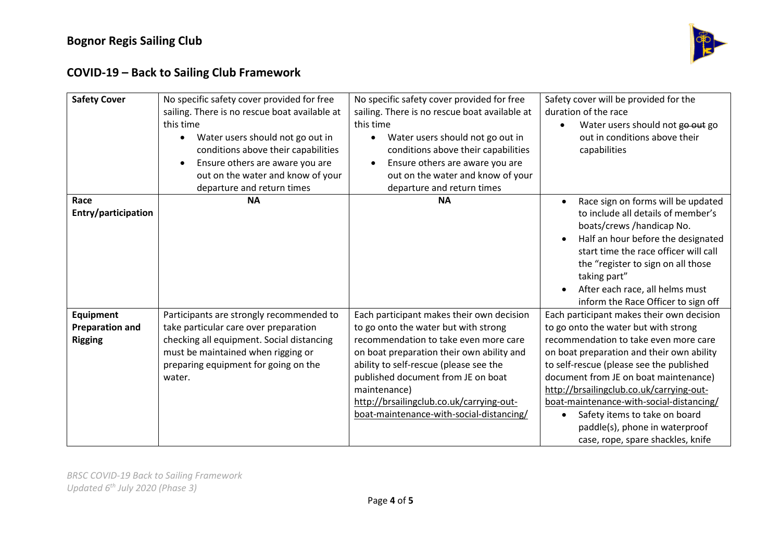

| <b>Safety Cover</b>                                   | No specific safety cover provided for free<br>sailing. There is no rescue boat available at<br>this time<br>Water users should not go out in<br>$\bullet$<br>conditions above their capabilities<br>Ensure others are aware you are<br>out on the water and know of your<br>departure and return times | No specific safety cover provided for free<br>sailing. There is no rescue boat available at<br>this time<br>Water users should not go out in<br>$\bullet$<br>conditions above their capabilities<br>Ensure others are aware you are<br>$\bullet$<br>out on the water and know of your<br>departure and return times                                             | Safety cover will be provided for the<br>duration of the race<br>Water users should not go out go<br>out in conditions above their<br>capabilities                                                                                                                                                                                                                                                                                                                        |
|-------------------------------------------------------|--------------------------------------------------------------------------------------------------------------------------------------------------------------------------------------------------------------------------------------------------------------------------------------------------------|-----------------------------------------------------------------------------------------------------------------------------------------------------------------------------------------------------------------------------------------------------------------------------------------------------------------------------------------------------------------|---------------------------------------------------------------------------------------------------------------------------------------------------------------------------------------------------------------------------------------------------------------------------------------------------------------------------------------------------------------------------------------------------------------------------------------------------------------------------|
| Race<br>Entry/participation                           | <b>NA</b>                                                                                                                                                                                                                                                                                              | <b>NA</b>                                                                                                                                                                                                                                                                                                                                                       | Race sign on forms will be updated<br>to include all details of member's<br>boats/crews /handicap No.<br>Half an hour before the designated<br>start time the race officer will call<br>the "register to sign on all those<br>taking part"<br>After each race, all helms must<br>$\bullet$<br>inform the Race Officer to sign off                                                                                                                                         |
| Equipment<br><b>Preparation and</b><br><b>Rigging</b> | Participants are strongly recommended to<br>take particular care over preparation<br>checking all equipment. Social distancing<br>must be maintained when rigging or<br>preparing equipment for going on the<br>water.                                                                                 | Each participant makes their own decision<br>to go onto the water but with strong<br>recommendation to take even more care<br>on boat preparation their own ability and<br>ability to self-rescue (please see the<br>published document from JE on boat<br>maintenance)<br>http://brsailingclub.co.uk/carrying-out-<br>boat-maintenance-with-social-distancing/ | Each participant makes their own decision<br>to go onto the water but with strong<br>recommendation to take even more care<br>on boat preparation and their own ability<br>to self-rescue (please see the published<br>document from JE on boat maintenance)<br>http://brsailingclub.co.uk/carrying-out-<br>boat-maintenance-with-social-distancing/<br>Safety items to take on board<br>$\bullet$<br>paddle(s), phone in waterproof<br>case, rope, spare shackles, knife |